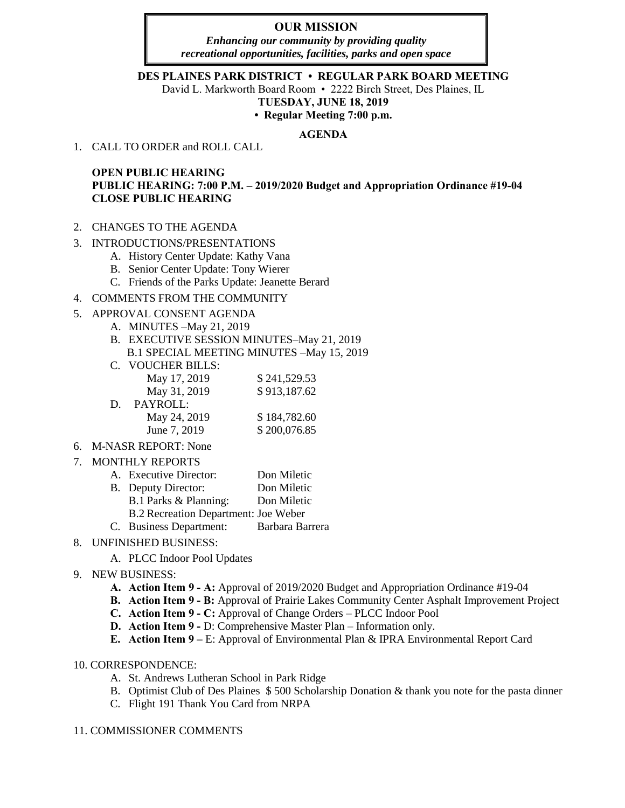# **OUR MISSION**

*Enhancing our community by providing quality recreational opportunities, facilities, parks and open space*

#### **DES PLAINES PARK DISTRICT • REGULAR PARK BOARD MEETING**

David L. Markworth Board Room • 2222 Birch Street, Des Plaines, IL

**TUESDAY, JUNE 18, 2019** 

**• Regular Meeting 7:00 p.m.** 

### **AGENDA**

1. CALL TO ORDER and ROLL CALL

# **OPEN PUBLIC HEARING PUBLIC HEARING: 7:00 P.M. – 2019/2020 Budget and Appropriation Ordinance #19-04 CLOSE PUBLIC HEARING**

- 2. CHANGES TO THE AGENDA
- 3. INTRODUCTIONS/PRESENTATIONS
	- A. History Center Update: Kathy Vana
	- B. Senior Center Update: Tony Wierer
	- C. Friends of the Parks Update: Jeanette Berard

### 4. COMMENTS FROM THE COMMUNITY

### 5. APPROVAL CONSENT AGENDA

- A. MINUTES –May 21, 2019
- B. EXECUTIVE SESSION MINUTES–May 21, 2019
- B.1 SPECIAL MEETING MINUTES –May 15, 2019
- C. VOUCHER BILLS:

| May 17, 2019 | \$241,529.53 |
|--------------|--------------|
| May 31, 2019 | \$913,187.62 |
| PAYROLL:     |              |
| May 24, 2019 | \$184,782.60 |
| June 7, 2019 | \$200,076.85 |
|              |              |

6. M-NASR REPORT: None

### 7. MONTHLY REPORTS

| A. Executive Director:               | Don Miletic     |
|--------------------------------------|-----------------|
| B. Deputy Director:                  | Don Miletic     |
| B.1 Parks & Planning:                | Don Miletic     |
| B.2 Recreation Department: Joe Weber |                 |
| C. Business Department:              | Barbara Barrera |

# 8. UNFINISHED BUSINESS:

- A. PLCC Indoor Pool Updates
- 9. NEW BUSINESS:
	- **A. Action Item 9 A:** Approval of 2019/2020 Budget and Appropriation Ordinance #19-04
	- **B. Action Item 9 B:** Approval of Prairie Lakes Community Center Asphalt Improvement Project
	- **C. Action Item 9 C:** Approval of Change Orders PLCC Indoor Pool
	- **D. Action Item 9 -** D: Comprehensive Master Plan Information only.
	- **E. Action Item 9 –** E: Approval of Environmental Plan & IPRA Environmental Report Card

### 10. CORRESPONDENCE:

- A. St. Andrews Lutheran School in Park Ridge
- B. Optimist Club of Des Plaines \$ 500 Scholarship Donation & thank you note for the pasta dinner
- C. Flight 191 Thank You Card from NRPA

### 11. COMMISSIONER COMMENTS